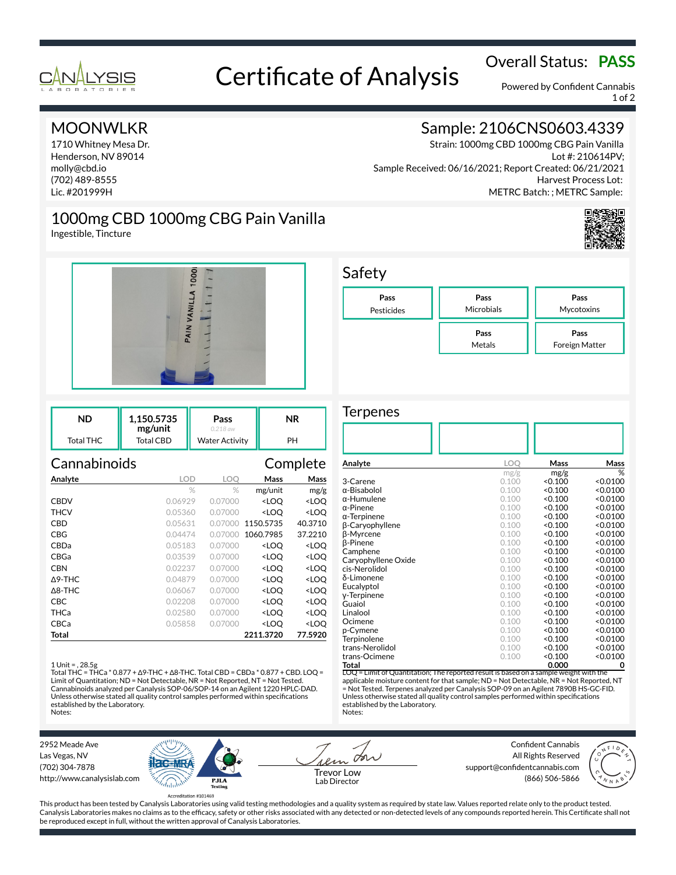

# Overall Status: **PASS**<br>Certificate of Analysis

Powered by Confident Cannabis 1 of 2

## MOONWLKR

1710 Whitney Mesa Dr. Henderson, NV 89014 molly@cbd.io (702) 489-8555 Lic. #201999H

Ingestible, Tincture

# Sample: 2106CNS0603.4339

Strain: 1000mg CBD 1000mg CBG Pain Vanilla Lot #: 210614PV; Sample Received: 06/16/2021; Report Created: 06/21/2021 Harvest Process Lot: METRC Batch: ; METRC Sample:





1000mg CBD 1000mg CBG Pain Vanilla

| ND        | 1.150.5735<br>mg/unit | Pass<br>$0.218$ aw    | ΝR |
|-----------|-----------------------|-----------------------|----|
| Total THC | Total CBD             | <b>Water Activity</b> | PH |

| Cannabinoids      |            |         |                                                 | Complete            |
|-------------------|------------|---------|-------------------------------------------------|---------------------|
| Analyte           | <b>LOD</b> | LOO     | Mass                                            | Mass                |
|                   | $\%$       | $\%$    | mg/unit                                         | mg/g                |
| <b>CBDV</b>       | 0.06929    | 0.07000 | <loo< th=""><th><loo< th=""></loo<></th></loo<> | <loo< th=""></loo<> |
| THCV              | 0.05360    | 0.07000 | <loq< th=""><th><loq< th=""></loq<></th></loq<> | <loq< th=""></loq<> |
| CBD               | 0.05631    | 0.07000 | 1150.5735                                       | 40.3710             |
| CBG               | 0.04474    | 0.07000 | 1060.7985                                       | 37.2210             |
| CBDa              | 0.05183    | 0.07000 | <loo< th=""><th><loq< th=""></loq<></th></loo<> | <loq< th=""></loq<> |
| CBGa              | 0.03539    | 0.07000 | <loq< th=""><th><loq< th=""></loq<></th></loq<> | <loq< th=""></loq<> |
| <b>CBN</b>        | 0.02237    | 0.07000 | <loo< th=""><th><loo< th=""></loo<></th></loo<> | <loo< th=""></loo<> |
| $\Delta$ 9-THC    | 0.04879    | 0.07000 | <loq< th=""><th><loq< th=""></loq<></th></loq<> | <loq< th=""></loq<> |
| $\triangle$ 8-THC | 0.06067    | 0.07000 | <loo< th=""><th><loo< th=""></loo<></th></loo<> | <loo< th=""></loo<> |
| CBC.              | 0.02208    | 0.07000 | <loo< th=""><th><loq< th=""></loq<></th></loo<> | <loq< th=""></loq<> |
| THCa              | 0.02580    | 0.07000 | <loq< th=""><th><loq< th=""></loq<></th></loq<> | <loq< th=""></loq<> |
| CBCa              | 0.05858    | 0.07000 | <loo< th=""><th><loq< th=""></loq<></th></loo<> | <loq< th=""></loq<> |
| Total             |            |         | 2211.3720                                       | 77.5920             |

### 1 Unit = , 28.5g

Total THC = THCa \* 0.877 + ∆9-THC + ∆8-THC. Total CBD = CBDa \* 0.877 + CBD. LOQ = Limit of Quantitation; ND = Not Detectable, NR = Not Reported, NT = Not Tested. Cannabinoids analyzed per Canalysis SOP-06/SOP-14 on an Agilent 1220 HPLC-DAD. Unless otherwise stated all quality control samples performed within specifications established by the Laboratory. Notes:



### Ternenes

| Analyte                                                                               | <b>LOO</b> | Mass    | Mass     |
|---------------------------------------------------------------------------------------|------------|---------|----------|
|                                                                                       | mg/g       | mg/g    | %        |
| 3-Carene                                                                              | 0.100      | < 0.100 | < 0.0100 |
| $\alpha$ -Bisabolol                                                                   | 0.100      | < 0.100 | < 0.0100 |
| $\alpha$ -Humulene                                                                    | 0.100      | < 0.100 | < 0.0100 |
| $\alpha$ -Pinene                                                                      | 0.100      | < 0.100 | < 0.0100 |
| $\alpha$ -Terpinene                                                                   | 0.100      | < 0.100 | < 0.0100 |
| β-Caryophyllene                                                                       | 0.100      | < 0.100 | < 0.0100 |
| β-Myrcene                                                                             | 0.100      | < 0.100 | < 0.0100 |
| β-Pinene                                                                              | 0.100      | < 0.100 | < 0.0100 |
| Camphene                                                                              | 0.100      | < 0.100 | < 0.0100 |
| Caryophyllene Oxide                                                                   | 0.100      | < 0.100 | < 0.0100 |
| cis-Nerolidol                                                                         | 0.100      | < 0.100 | < 0.0100 |
| δ-Limonene                                                                            | 0.100      | < 0.100 | < 0.0100 |
| Eucalyptol                                                                            | 0.100      | < 0.100 | < 0.0100 |
| y-Terpinene                                                                           | 0.100      | < 0.100 | < 0.0100 |
| Guaiol                                                                                | 0.100      | < 0.100 | < 0.0100 |
| Linalool                                                                              | 0.100      | < 0.100 | < 0.0100 |
| Ocimene                                                                               | 0.100      | < 0.100 | < 0.0100 |
| p-Cymene                                                                              | 0.100      | < 0.100 | < 0.0100 |
| Terpinolene                                                                           | 0.100      | < 0.100 | < 0.0100 |
| trans-Nerolidol                                                                       | 0.100      | < 0.100 | < 0.0100 |
| trans-Ocimene                                                                         | 0.100      | < 0.100 | < 0.0100 |
| Total                                                                                 |            | 0.000   | 0        |
| LOQ = Limit of Quantitation; The reported result is based on a sample weight with the |            |         |          |

applicable moisture content for that sample; ND = Not Detectable, NR = Not Reported, NT = Not Tested. Terpenes analyzed per Canalysis SOP-09 on an Agilent 7890B HS-GC-FID. Unless otherwise stated all quality control samples performed within specifications established by the Laboratory. Notes:

2952 Meade Ave Las Vegas, NV (702) 304-7878 http://www.canalysislab.com



on Lab Director

Confident Cannabis All Rights Reserved support@confidentcannabis.com Support@commentealmabis.com<br>| 1 ab Director (866) 506-5866



This product has been tested by Canalysis Laboratories using valid testing methodologies and a quality system as required by state law. Values reported relate only to the product tested. Canalysis Laboratories makes no claims as to the efficacy, safety or other risks associated with any detected or non-detected levels of any compounds reported herein. This Certificate shall not be reproduced except in full, without the written approval of Canalysis Laboratories.